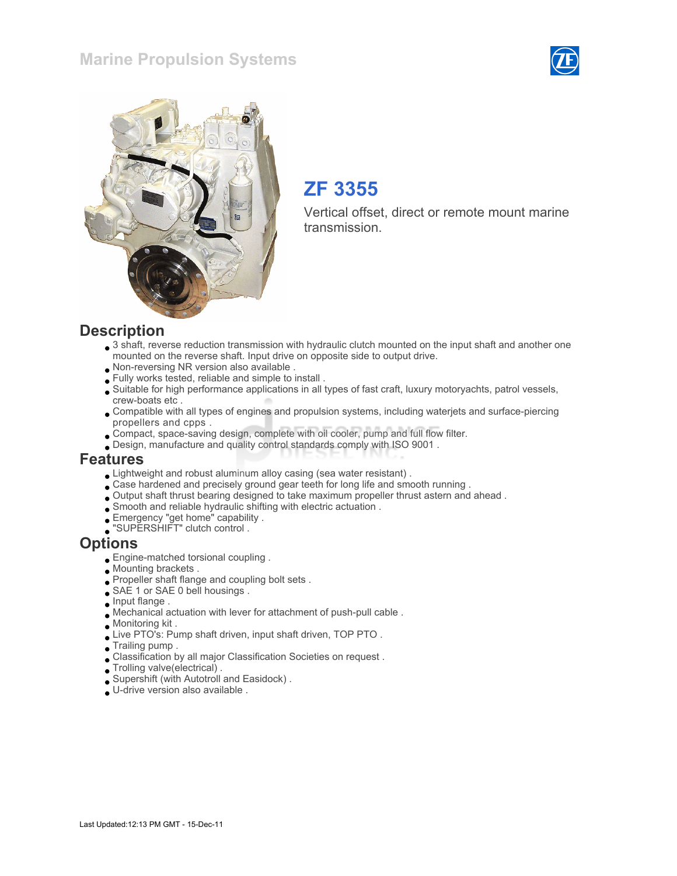### Marine Propulsion Systems





# ZF 3355

Vertical offset, direct or remote mount marine transmission.

#### **Description**

- 3 shaft, reverse reduction transmission with hydraulic clutch mounted on the input shaft and another one mounted on the reverse shaft. Input drive on opposite side to output drive.
- Non-reversing NR version also available .
- Fully works tested, reliable and simple to install .
- Suitable for high performance applications in all types of fast craft, luxury motoryachts, patrol vessels, crew-boats etc .
- Compatible with all types of engines and propulsion systems, including waterjets and surface-piercing propellers and cpps .
- Compact, space-saving design, complete with oil cooler, pump and full flow filter.
- Design, manufacture and quality control standards comply with ISO 9001 .

#### Features

- Lightweight and robust aluminum alloy casing (sea water resistant) .
- Case hardened and precisely ground gear teeth for long life and smooth running .
- Output shaft thrust bearing designed to take maximum propeller thrust astern and ahead .
- Smooth and reliable hydraulic shifting with electric actuation .
- Emergency "get home" capability .
- "SUPERSHIFT" clutch control .

#### **Options**

- Engine-matched torsional coupling .
- Mounting brackets .
- Propeller shaft flange and coupling bolt sets .
- SAE 1 or SAE 0 bell housings .
- **Input flange**.
- Mechanical actuation with lever for attachment of push-pull cable .
- Monitoring kit .
- Live PTO's: Pump shaft driven, input shaft driven, TOP PTO.
- Trailing pump .
- Classification by all major Classification Societies on request .
- Trolling valve(electrical) .
- Supershift (with Autotroll and Easidock) .
- U-drive version also available .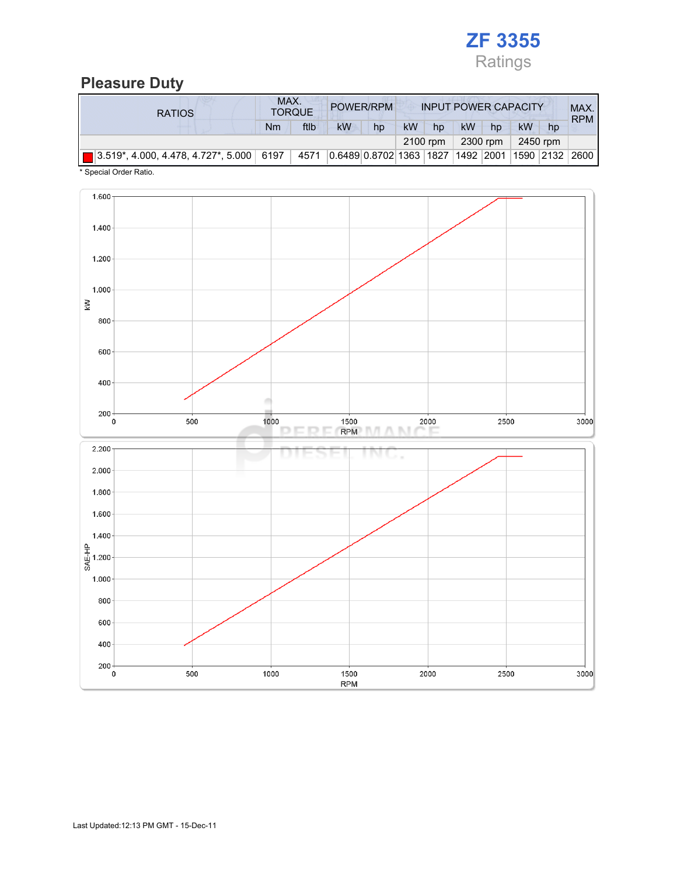

### Pleasure Duty

| <b>RATIOS</b>                                             |    | MAX.<br>POWER/RPM<br><b>TORQUE</b> |                                   |    | <b>INPUT POWER CAPACITY</b> |          |    |          |          |    | MAX.<br><b>RPM</b> |
|-----------------------------------------------------------|----|------------------------------------|-----------------------------------|----|-----------------------------|----------|----|----------|----------|----|--------------------|
|                                                           | Nm | ftlb                               | <b>kW</b>                         | hp | <b>kW</b>                   | hp       | kW | hp       | kW       | hp |                    |
|                                                           |    |                                    |                                   |    |                             | 2100 rpm |    | 2300 rpm | 2450 rpm |    |                    |
| $\blacksquare$ 3.519*, 4.000, 4.478, 4.727*, 5.000   6197 |    | 4571                               | 0.6489 0.8702 1363 1827 1492 2001 |    |                             |          |    |          |          |    | 1590  2132   2600  |

\* Special Order Ratio.

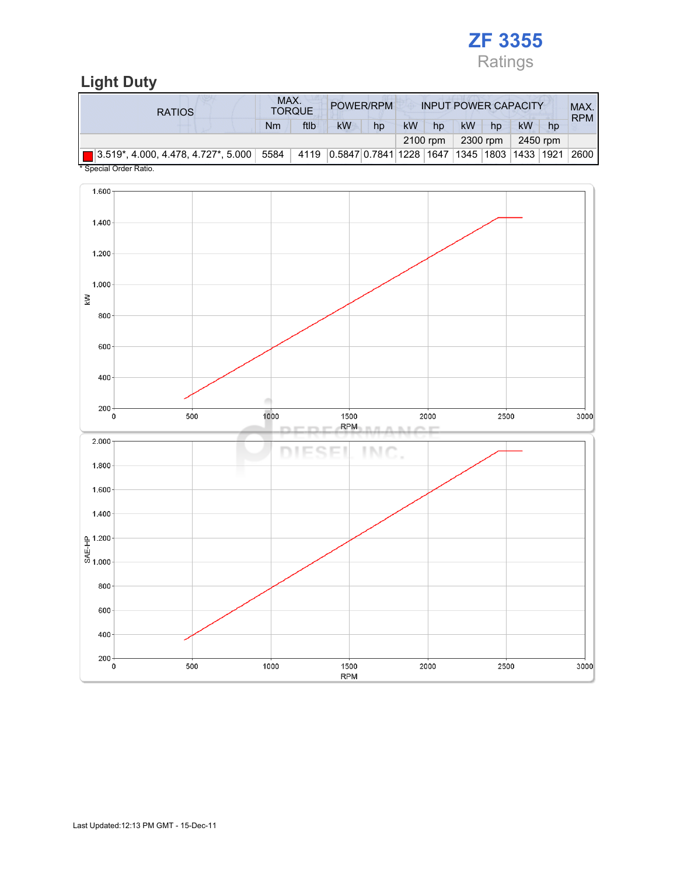

## Light Duty

| <b>RATIOS</b>                                                                                    | MAX.<br><b>TORQUE</b> |      |                                                  | POWER/RPM<br><b>INPUT POWER CAPACITY</b> |           |          |           |    |          |    | MAX.<br><b>RPM</b> |
|--------------------------------------------------------------------------------------------------|-----------------------|------|--------------------------------------------------|------------------------------------------|-----------|----------|-----------|----|----------|----|--------------------|
|                                                                                                  | Nm                    | ftlb | kW                                               | hp                                       | <b>kW</b> | hp       | <b>kW</b> | hp | kW       | hp |                    |
|                                                                                                  |                       |      |                                                  |                                          |           | 2100 rpm | 2300 rpm  |    | 2450 rpm |    |                    |
| $\boxed{2.519^*}$ , 4.000, 4.478, 4.727 $^*$ , 5.000 $\boxed{5584}$<br>$*$ Consider Order Detter |                       |      | 4119 0.5847 0.7841 1228 1647 1345 1803 1433 1921 |                                          |           |          |           |    |          |    | $^{\circ}$ 2600 l  |

Special Order Ratio.

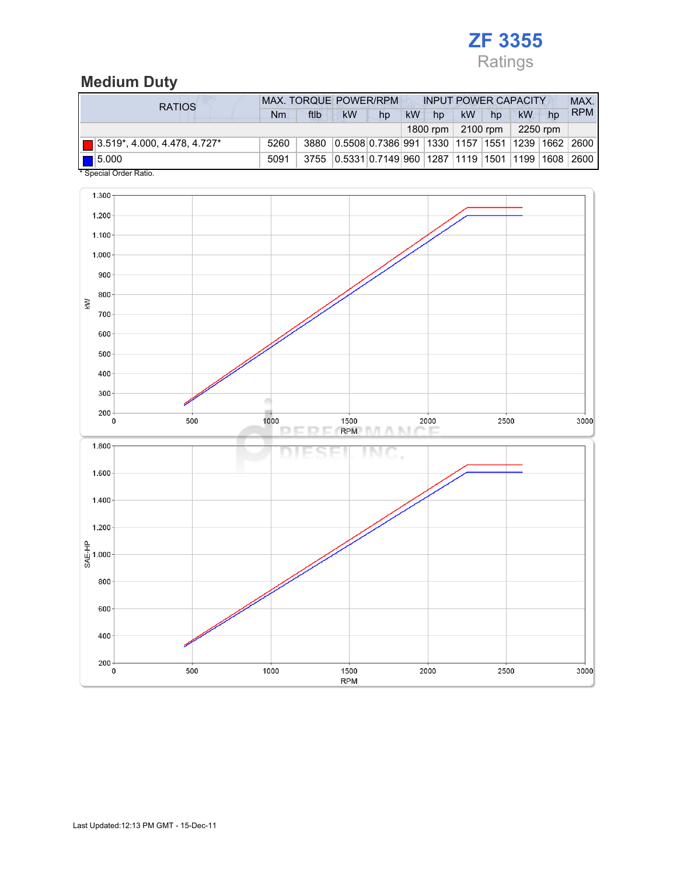# ZF 3355 Ratings

### Medium Duty

| <b>RATIOS</b>                            | <b>MAX. TORQUE POWER/RPM</b> |      |                                                      |    | <b>INPUT POWER CAPACITY</b> |          |           |            |          |    | MAX.       |
|------------------------------------------|------------------------------|------|------------------------------------------------------|----|-----------------------------|----------|-----------|------------|----------|----|------------|
|                                          | Nm                           | ftlb | kW                                                   | hp | kW                          | hp       | <b>kW</b> | hp         | kW       | hp | <b>RPM</b> |
|                                          |                              |      |                                                      |    |                             | 1800 rpm |           | $2100$ rpm | 2250 rpm |    |            |
| $\boxed{ }$ 3.519*, 4.000, 4.478, 4.727* | 5260                         | 3880 | 0.5508 0.7386 991 1330 1157 1551 1239 1662 2600      |    |                             |          |           |            |          |    |            |
| $\vert$ 5.000                            | 5091                         |      | 3755 0.5331 0.7149 960 1287 1119 1501 1199 1608 2600 |    |                             |          |           |            |          |    |            |
| * Special Order Ratio.                   |                              |      |                                                      |    |                             |          |           |            |          |    |            |

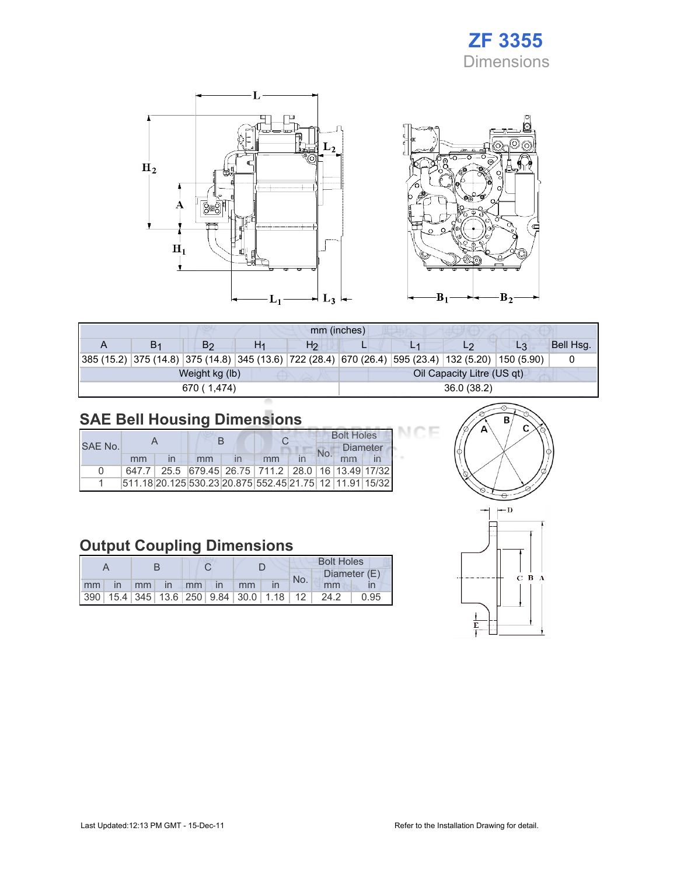## ZF 3355 Dimensions

Œ



| mm (inches) |                |                |    |                |                            |  |                                                                                                    |    |           |  |  |
|-------------|----------------|----------------|----|----------------|----------------------------|--|----------------------------------------------------------------------------------------------------|----|-----------|--|--|
|             | B <sub>1</sub> | B <sub>2</sub> | H1 | H <sub>2</sub> |                            |  | L2                                                                                                 | L3 | Bell Hsg. |  |  |
|             |                |                |    |                |                            |  | 385 (15.2) 375 (14.8) 375 (14.8) 345 (13.6) 722 (28.4) 670 (26.4) 595 (23.4) 132 (5.20) 150 (5.90) |    |           |  |  |
|             |                | Weight kg (lb) |    |                | Oil Capacity Litre (US qt) |  |                                                                                                    |    |           |  |  |
|             |                | 670 (1.474)    |    |                | 36.0(38.2)                 |  |                                                                                                    |    |           |  |  |

## SAE Bell Housing Dimensions

|              |    |    |                                                                   |  | <b>Bolt Holes</b> |                 |  |  |
|--------------|----|----|-------------------------------------------------------------------|--|-------------------|-----------------|--|--|
| SAE No.      |    |    |                                                                   |  |                   | <b>Diameter</b> |  |  |
|              | mm | mm | mm                                                                |  |                   | mm              |  |  |
| <sup>0</sup> |    |    | 647.7   25.5   679.45   26.75   711.2   28.0   16   13.49   17/32 |  |                   |                 |  |  |
|              |    |    | 511.18 20.125 530.23 20.875 552.45 21.75 12 11.91 15/32           |  |                   |                 |  |  |

## Output Coupling Dimensions

|    |              |       |              |        |              |                                                         | <b>Bolt Holes</b> |      |              |  |  |
|----|--------------|-------|--------------|--------|--------------|---------------------------------------------------------|-------------------|------|--------------|--|--|
|    |              |       |              |        |              |                                                         | No.               |      | Diameter (E) |  |  |
| mm | $\mathsf{I}$ | $-mm$ | $\mathsf{I}$ | $mm -$ | $\mathsf{I}$ | mm                                                      |                   | mm   |              |  |  |
|    |              |       |              |        |              | 390   15.4   345   13.6   250   9.84   30.0   1.18   12 |                   | 24.2 | ገ 95         |  |  |



ICE

 $B_2$